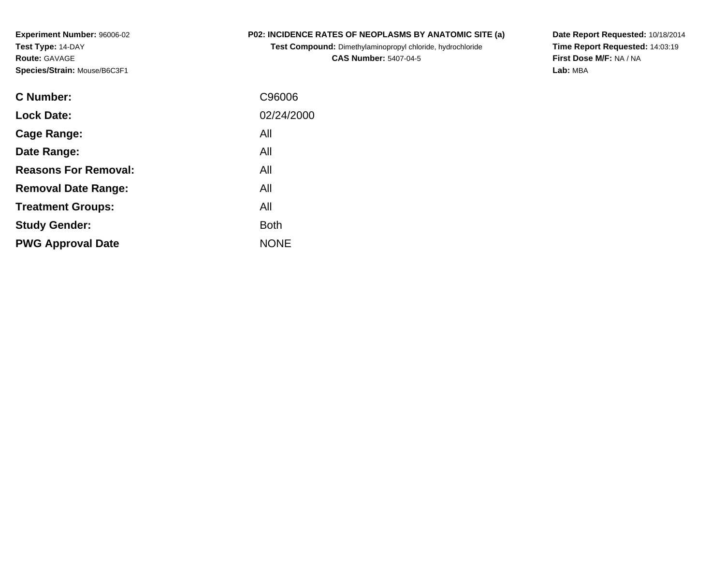**Experiment Number:** 96006-02**Test Type:** 14-DAY**Route:** GAVAGE**Species/Strain:** Mouse/B6C3F1

## **P02: INCIDENCE RATES OF NEOPLASMS BY ANATOMIC SITE (a)**

**Test Compound:** Dimethylaminopropyl chloride, hydrochloride**CAS Number:** 5407-04-5

**Date Report Requested:** 10/18/2014 **Time Report Requested:** 14:03:19**First Dose M/F:** NA / NA**Lab:** MBA

| C96006      |
|-------------|
| 02/24/2000  |
| All         |
| All         |
| All         |
| All         |
| All         |
| <b>Both</b> |
| <b>NONE</b> |
|             |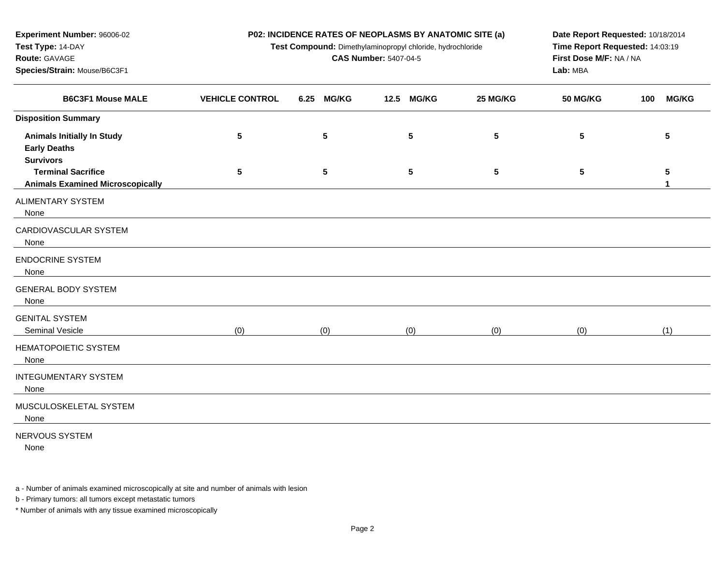| Experiment Number: 96006-02                              | P02: INCIDENCE RATES OF NEOPLASMS BY ANATOMIC SITE (a)                                        | Date Report Requested: 10/18/2014                       |                      |          |                 |                     |  |  |  |
|----------------------------------------------------------|-----------------------------------------------------------------------------------------------|---------------------------------------------------------|----------------------|----------|-----------------|---------------------|--|--|--|
| Test Type: 14-DAY                                        | Time Report Requested: 14:03:19<br>Test Compound: Dimethylaminopropyl chloride, hydrochloride |                                                         |                      |          |                 |                     |  |  |  |
| Route: GAVAGE                                            |                                                                                               | First Dose M/F: NA / NA<br><b>CAS Number: 5407-04-5</b> |                      |          |                 |                     |  |  |  |
| Species/Strain: Mouse/B6C3F1                             |                                                                                               |                                                         |                      | Lab: MBA |                 |                     |  |  |  |
| <b>B6C3F1 Mouse MALE</b>                                 | <b>VEHICLE CONTROL</b>                                                                        | 6.25<br><b>MG/KG</b>                                    | <b>MG/KG</b><br>12.5 | 25 MG/KG | <b>50 MG/KG</b> | <b>MG/KG</b><br>100 |  |  |  |
| <b>Disposition Summary</b>                               |                                                                                               |                                                         |                      |          |                 |                     |  |  |  |
| <b>Animals Initially In Study</b><br><b>Early Deaths</b> | $5\phantom{.0}$                                                                               | 5                                                       | 5                    | 5        | 5               | ${\bf 5}$           |  |  |  |
| <b>Survivors</b>                                         |                                                                                               |                                                         |                      |          |                 |                     |  |  |  |
| <b>Terminal Sacrifice</b>                                | ${\bf 5}$                                                                                     | 5                                                       | $\sqrt{5}$           | 5        | 5               | ${\bf 5}$           |  |  |  |
| <b>Animals Examined Microscopically</b>                  |                                                                                               |                                                         |                      |          |                 | 1                   |  |  |  |
| <b>ALIMENTARY SYSTEM</b><br>None                         |                                                                                               |                                                         |                      |          |                 |                     |  |  |  |
| CARDIOVASCULAR SYSTEM<br>None                            |                                                                                               |                                                         |                      |          |                 |                     |  |  |  |
| <b>ENDOCRINE SYSTEM</b><br>None                          |                                                                                               |                                                         |                      |          |                 |                     |  |  |  |
| <b>GENERAL BODY SYSTEM</b><br>None                       |                                                                                               |                                                         |                      |          |                 |                     |  |  |  |
| <b>GENITAL SYSTEM</b><br>Seminal Vesicle                 | (0)                                                                                           | (0)                                                     | (0)                  | (0)      | (0)             | (1)                 |  |  |  |
| HEMATOPOIETIC SYSTEM<br>None                             |                                                                                               |                                                         |                      |          |                 |                     |  |  |  |
| <b>INTEGUMENTARY SYSTEM</b><br>None                      |                                                                                               |                                                         |                      |          |                 |                     |  |  |  |
| MUSCULOSKELETAL SYSTEM<br>None                           |                                                                                               |                                                         |                      |          |                 |                     |  |  |  |
| <b>NERVOUS SYSTEM</b><br>None                            |                                                                                               |                                                         |                      |          |                 |                     |  |  |  |

a - Number of animals examined microscopically at site and number of animals with lesion

b - Primary tumors: all tumors except metastatic tumors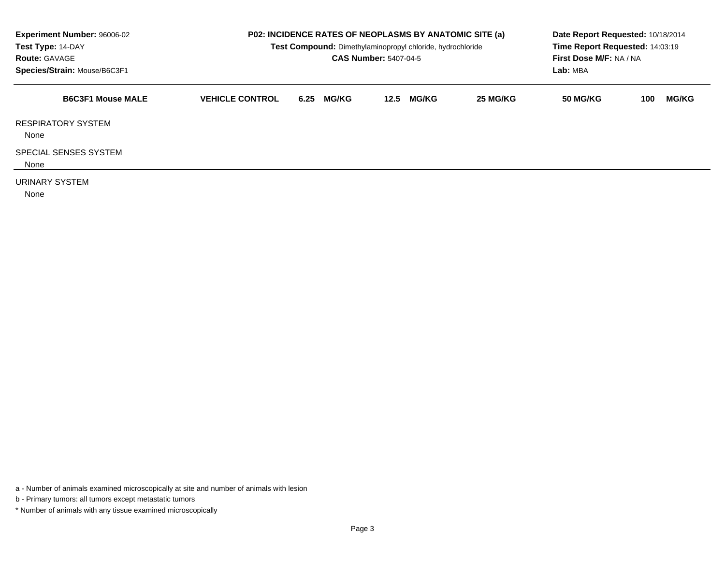| Experiment Number: 96006-02<br>Test Type: 14-DAY<br><b>Route: GAVAGE</b><br>Species/Strain: Mouse/B6C3F1 |                        |                      | <b>P02: INCIDENCE RATES OF NEOPLASMS BY ANATOMIC SITE (a)</b><br>Test Compound: Dimethylaminopropyl chloride, hydrochloride<br><b>CAS Number: 5407-04-5</b> |          | Date Report Requested: 10/18/2014<br>Time Report Requested: 14:03:19<br>First Dose M/F: NA / NA<br>Lab: MBA |                     |  |  |
|----------------------------------------------------------------------------------------------------------|------------------------|----------------------|-------------------------------------------------------------------------------------------------------------------------------------------------------------|----------|-------------------------------------------------------------------------------------------------------------|---------------------|--|--|
| <b>B6C3F1 Mouse MALE</b>                                                                                 | <b>VEHICLE CONTROL</b> | <b>MG/KG</b><br>6.25 | <b>MG/KG</b><br>12.5                                                                                                                                        | 25 MG/KG | <b>50 MG/KG</b>                                                                                             | <b>MG/KG</b><br>100 |  |  |
| <b>RESPIRATORY SYSTEM</b><br>None                                                                        |                        |                      |                                                                                                                                                             |          |                                                                                                             |                     |  |  |
| <b>SPECIAL SENSES SYSTEM</b><br>None                                                                     |                        |                      |                                                                                                                                                             |          |                                                                                                             |                     |  |  |
| URINARY SYSTEM<br>None                                                                                   |                        |                      |                                                                                                                                                             |          |                                                                                                             |                     |  |  |

a - Number of animals examined microscopically at site and number of animals with lesion

b - Primary tumors: all tumors except metastatic tumors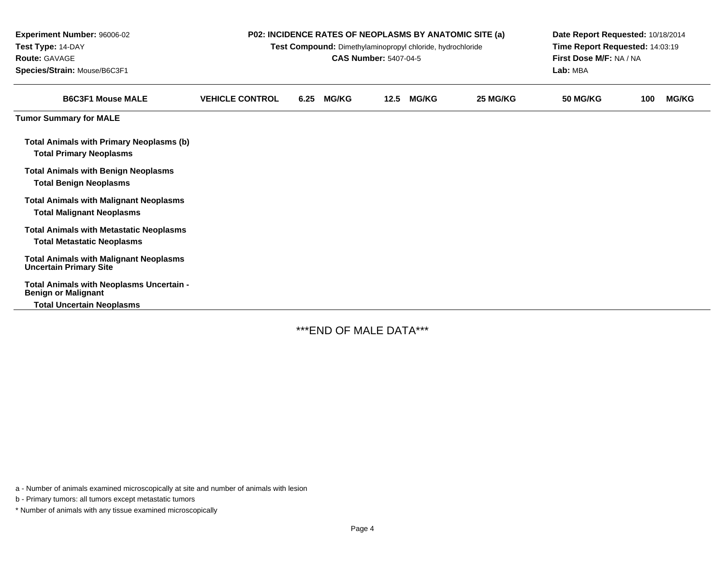| <b>Experiment Number: 96006-02</b><br>Test Type: 14-DAY<br>Route: GAVAGE<br>Species/Strain: Mouse/B6C3F1 |                        |      | <b>CAS Number: 5407-04-5</b> |      | Test Compound: Dimethylaminopropyl chloride, hydrochloride | P02: INCIDENCE RATES OF NEOPLASMS BY ANATOMIC SITE (a) | Date Report Requested: 10/18/2014<br>Time Report Requested: 14:03:19<br>First Dose M/F: NA / NA<br>Lab: MBA |     |              |
|----------------------------------------------------------------------------------------------------------|------------------------|------|------------------------------|------|------------------------------------------------------------|--------------------------------------------------------|-------------------------------------------------------------------------------------------------------------|-----|--------------|
| <b>B6C3F1 Mouse MALE</b>                                                                                 | <b>VEHICLE CONTROL</b> | 6.25 | <b>MG/KG</b>                 | 12.5 | <b>MG/KG</b>                                               | 25 MG/KG                                               | <b>50 MG/KG</b>                                                                                             | 100 | <b>MG/KG</b> |
| <b>Tumor Summary for MALE</b>                                                                            |                        |      |                              |      |                                                            |                                                        |                                                                                                             |     |              |
| <b>Total Animals with Primary Neoplasms (b)</b><br><b>Total Primary Neoplasms</b>                        |                        |      |                              |      |                                                            |                                                        |                                                                                                             |     |              |
| <b>Total Animals with Benign Neoplasms</b><br><b>Total Benign Neoplasms</b>                              |                        |      |                              |      |                                                            |                                                        |                                                                                                             |     |              |
| <b>Total Animals with Malignant Neoplasms</b><br><b>Total Malignant Neoplasms</b>                        |                        |      |                              |      |                                                            |                                                        |                                                                                                             |     |              |
| <b>Total Animals with Metastatic Neoplasms</b><br><b>Total Metastatic Neoplasms</b>                      |                        |      |                              |      |                                                            |                                                        |                                                                                                             |     |              |
| <b>Total Animals with Malignant Neoplasms</b><br><b>Uncertain Primary Site</b>                           |                        |      |                              |      |                                                            |                                                        |                                                                                                             |     |              |
| Total Animals with Neoplasms Uncertain -<br><b>Benign or Malignant</b>                                   |                        |      |                              |      |                                                            |                                                        |                                                                                                             |     |              |
| <b>Total Uncertain Neoplasms</b>                                                                         |                        |      |                              |      |                                                            |                                                        |                                                                                                             |     |              |

\*\*\*END OF MALE DATA\*\*\*

a - Number of animals examined microscopically at site and number of animals with lesion

b - Primary tumors: all tumors except metastatic tumors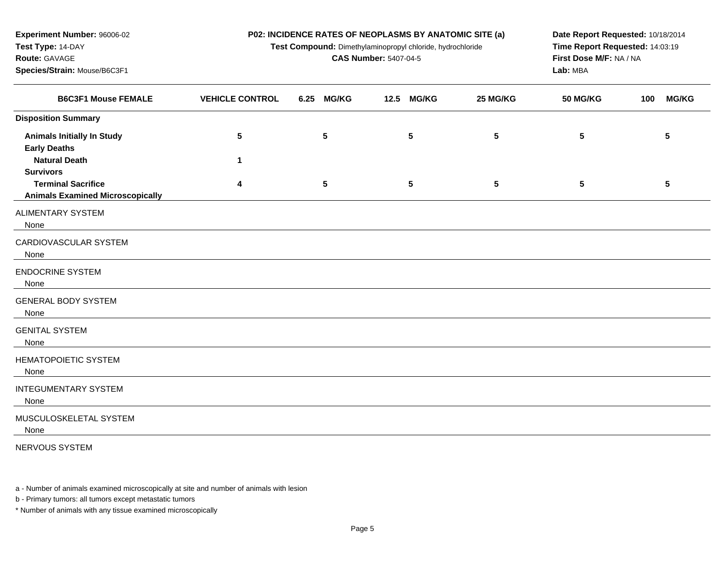| Test Type: 14-DAY<br>Route: GAVAGE                                   | Test Compound: Dimethylaminopropyl chloride, hydrochloride | Time Report Requested: 14:03:19<br>First Dose M/F: NA / NA |                      |          |                 |                     |
|----------------------------------------------------------------------|------------------------------------------------------------|------------------------------------------------------------|----------------------|----------|-----------------|---------------------|
| Species/Strain: Mouse/B6C3F1<br><b>B6C3F1 Mouse FEMALE</b>           |                                                            | <b>CAS Number: 5407-04-5</b>                               | Lab: MBA             |          |                 |                     |
|                                                                      | <b>VEHICLE CONTROL</b>                                     | <b>MG/KG</b><br>6.25                                       | <b>MG/KG</b><br>12.5 | 25 MG/KG | <b>50 MG/KG</b> | <b>MG/KG</b><br>100 |
| <b>Disposition Summary</b>                                           |                                                            |                                                            |                      |          |                 |                     |
| <b>Animals Initially In Study</b><br><b>Early Deaths</b>             | $5\phantom{.0}$                                            | $5\phantom{.0}$                                            | 5                    | 5        | $5\phantom{.0}$ | 5                   |
| <b>Natural Death</b><br><b>Survivors</b>                             | $\mathbf{1}$                                               |                                                            |                      |          |                 |                     |
| <b>Terminal Sacrifice</b><br><b>Animals Examined Microscopically</b> | 4                                                          | $5\phantom{.0}$                                            | $\sqrt{5}$           | 5        | $5\phantom{.0}$ | 5                   |
| <b>ALIMENTARY SYSTEM</b><br>None                                     |                                                            |                                                            |                      |          |                 |                     |
| CARDIOVASCULAR SYSTEM<br>None                                        |                                                            |                                                            |                      |          |                 |                     |
| <b>ENDOCRINE SYSTEM</b><br>None                                      |                                                            |                                                            |                      |          |                 |                     |
| <b>GENERAL BODY SYSTEM</b><br>None                                   |                                                            |                                                            |                      |          |                 |                     |
| <b>GENITAL SYSTEM</b><br>None                                        |                                                            |                                                            |                      |          |                 |                     |
| <b>HEMATOPOIETIC SYSTEM</b><br>None                                  |                                                            |                                                            |                      |          |                 |                     |
| <b>INTEGUMENTARY SYSTEM</b><br>None                                  |                                                            |                                                            |                      |          |                 |                     |
| MUSCULOSKELETAL SYSTEM<br>None                                       |                                                            |                                                            |                      |          |                 |                     |
| NERVOUS SYSTEM                                                       |                                                            |                                                            |                      |          |                 |                     |

**P02: INCIDENCE RATES OF NEOPLASMS BY ANATOMIC SITE (a)**

**Date Report Requested:** 10/18/2014

a - Number of animals examined microscopically at site and number of animals with lesion

b - Primary tumors: all tumors except metastatic tumors

**Experiment Number:** 96006-02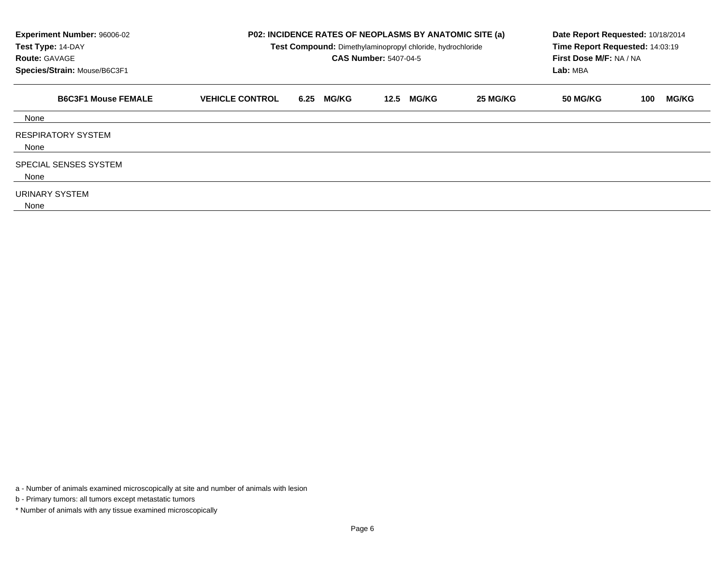| Experiment Number: 96006-02<br>Test Type: 14-DAY<br><b>Route: GAVAGE</b><br>Species/Strain: Mouse/B6C3F1 |                        |                      | <b>P02: INCIDENCE RATES OF NEOPLASMS BY ANATOMIC SITE (a)</b><br>Date Report Requested: 10/18/2014<br>Time Report Requested: 14:03:19<br>Test Compound: Dimethylaminopropyl chloride, hydrochloride<br>First Dose M/F: NA / NA<br><b>CAS Number: 5407-04-5</b><br>Lab: MBA |          |                 |                     |  |
|----------------------------------------------------------------------------------------------------------|------------------------|----------------------|----------------------------------------------------------------------------------------------------------------------------------------------------------------------------------------------------------------------------------------------------------------------------|----------|-----------------|---------------------|--|
| <b>B6C3F1 Mouse FEMALE</b>                                                                               | <b>VEHICLE CONTROL</b> | <b>MG/KG</b><br>6.25 | <b>MG/KG</b><br>12.5                                                                                                                                                                                                                                                       | 25 MG/KG | <b>50 MG/KG</b> | <b>MG/KG</b><br>100 |  |
| None                                                                                                     |                        |                      |                                                                                                                                                                                                                                                                            |          |                 |                     |  |
| <b>RESPIRATORY SYSTEM</b><br>None                                                                        |                        |                      |                                                                                                                                                                                                                                                                            |          |                 |                     |  |
| SPECIAL SENSES SYSTEM<br>None                                                                            |                        |                      |                                                                                                                                                                                                                                                                            |          |                 |                     |  |
| URINARY SYSTEM<br>None                                                                                   |                        |                      |                                                                                                                                                                                                                                                                            |          |                 |                     |  |

a - Number of animals examined microscopically at site and number of animals with lesion

b - Primary tumors: all tumors except metastatic tumors